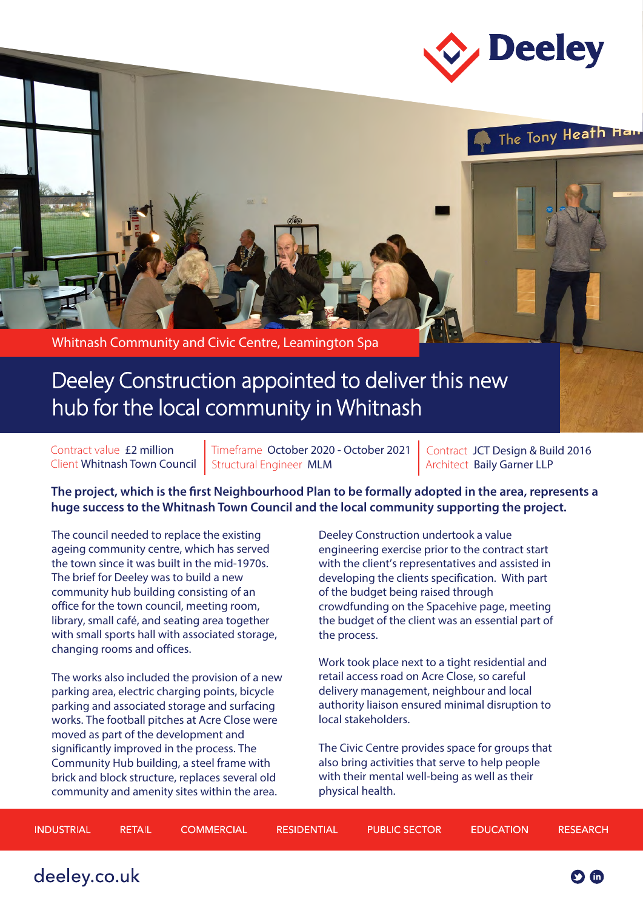



Whitnash Community and Civic Centre, Leamington Spa

## Deeley Construction appointed to deliver this new hub for the local community in Whitnash

Contract value £2 million Client Whitnash Town Council

Timeframe October 2020 - October 2021 Structural Engineer MLM

Contract JCT Design & Build 2016 Architect Baily Garner LLP

**The project, which is the first Neighbourhood Plan to be formally adopted in the area, represents a huge success to the Whitnash Town Council and the local community supporting the project.**

The council needed to replace the existing ageing community centre, which has served the town since it was built in the mid-1970s. The brief for Deeley was to build a new community hub building consisting of an office for the town council, meeting room, library, small café, and seating area together with small sports hall with associated storage, changing rooms and offices.

The works also included the provision of a new parking area, electric charging points, bicycle parking and associated storage and surfacing works. The football pitches at Acre Close were moved as part of the development and significantly improved in the process. The Community Hub building, a steel frame with brick and block structure, replaces several old community and amenity sites within the area.

Deeley Construction undertook a value engineering exercise prior to the contract start with the client's representatives and assisted in developing the clients specification. With part of the budget being raised through crowdfunding on the Spacehive page, meeting the budget of the client was an essential part of the process.

Work took place next to a tight residential and retail access road on Acre Close, so careful delivery management, neighbour and local authority liaison ensured minimal disruption to local stakeholders.

The Civic Centre provides space for groups that also bring activities that serve to help people with their mental well-being as well as their physical health.

| INDUSTRIAL | RETAIL | <b>COMMERCIAL</b> | RESIDENTIAL | <b>PUBLIC SECTOR</b> | <b>EDUCATION</b> | RESEARCH |
|------------|--------|-------------------|-------------|----------------------|------------------|----------|
|            |        |                   |             |                      |                  |          |

deeley.co.uk